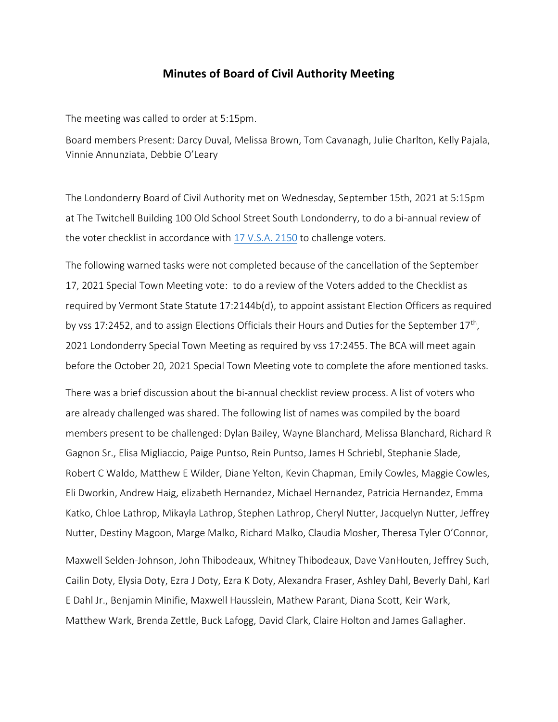## **Minutes of Board of Civil Authority Meeting**

The meeting was called to order at 5:15pm.

Board members Present: Darcy Duval, Melissa Brown, Tom Cavanagh, Julie Charlton, Kelly Pajala, Vinnie Annunziata, Debbie O'Leary

The Londonderry Board of Civil Authority met on Wednesday, September 15th, 2021 at 5:15pm at The Twitchell Building 100 Old School Street South Londonderry, to do a bi-annual review of the voter checklist in accordance with 17 [V.S.A. 2150](https://legislature.vermont.gov/statutes/section/17/043/02150) to challenge voters.

The following warned tasks were not completed because of the cancellation of the September 17, 2021 Special Town Meeting vote: to do a review of the Voters added to the Checklist as required by Vermont State Statute 17:2144b(d), to appoint assistant Election Officers as required by vss 17:2452, and to assign Elections Officials their Hours and Duties for the September 17<sup>th</sup>, 2021 Londonderry Special Town Meeting as required by vss 17:2455. The BCA will meet again before the October 20, 2021 Special Town Meeting vote to complete the afore mentioned tasks.

There was a brief discussion about the bi-annual checklist review process. A list of voters who are already challenged was shared. The following list of names was compiled by the board members present to be challenged: Dylan Bailey, Wayne Blanchard, Melissa Blanchard, Richard R Gagnon Sr., Elisa Migliaccio, Paige Puntso, Rein Puntso, James H Schriebl, Stephanie Slade, Robert C Waldo, Matthew E Wilder, Diane Yelton, Kevin Chapman, Emily Cowles, Maggie Cowles, Eli Dworkin, Andrew Haig, elizabeth Hernandez, Michael Hernandez, Patricia Hernandez, Emma Katko, Chloe Lathrop, Mikayla Lathrop, Stephen Lathrop, Cheryl Nutter, Jacquelyn Nutter, Jeffrey Nutter, Destiny Magoon, Marge Malko, Richard Malko, Claudia Mosher, Theresa Tyler O'Connor,

Maxwell Selden-Johnson, John Thibodeaux, Whitney Thibodeaux, Dave VanHouten, Jeffrey Such, Cailin Doty, Elysia Doty, Ezra J Doty, Ezra K Doty, Alexandra Fraser, Ashley Dahl, Beverly Dahl, Karl E Dahl Jr., Benjamin Minifie, Maxwell Hausslein, Mathew Parant, Diana Scott, Keir Wark, Matthew Wark, Brenda Zettle, Buck Lafogg, David Clark, Claire Holton and James Gallagher.